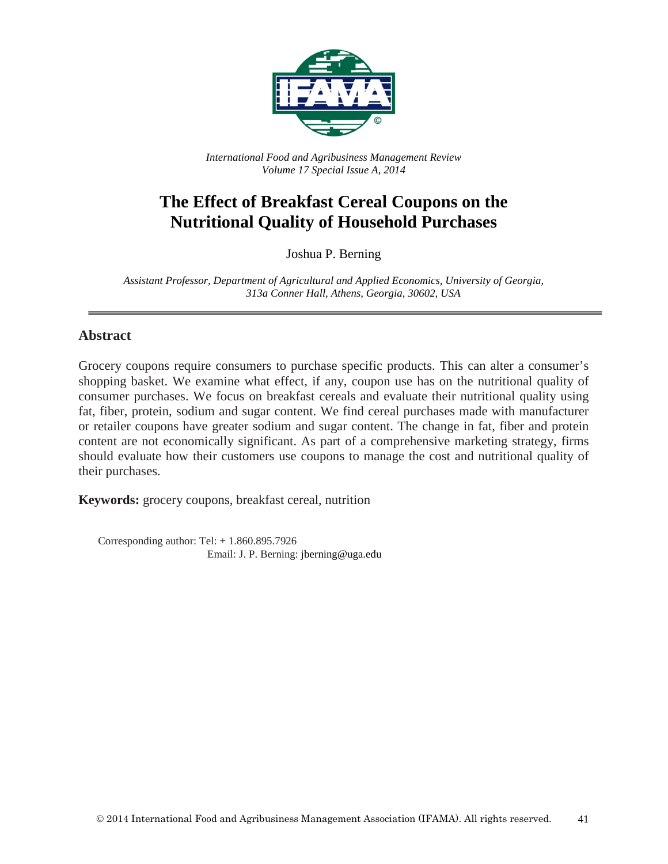

*International Food and Agribusiness Management Review Volume 17 Special Issue A, 2014*

# **The Effect of Breakfast Cereal Coupons on the Nutritional Quality of Household Purchases**

Joshua P. Berning

*Assistant Professor, Department of Agricultural and Applied Economics, University of Georgia, 313a Conner Hall, Athens, Georgia, 30602, USA*

#### **Abstract**

Grocery coupons require consumers to purchase specific products. This can alter a consumer's shopping basket. We examine what effect, if any, coupon use has on the nutritional quality of consumer purchases. We focus on breakfast cereals and evaluate their nutritional quality using fat, fiber, protein, sodium and sugar content. We find cereal purchases made with manufacturer or retailer coupons have greater sodium and sugar content. The change in fat, fiber and protein content are not economically significant. As part of a comprehensive marketing strategy, firms should evaluate how their customers use coupons to manage the cost and nutritional quality of their purchases.

**Keywords:** grocery coupons, breakfast cereal, nutrition

Corresponding author: Tel: + 1.860.895.7926 Email: J. P. Berning: jberning@uga.edu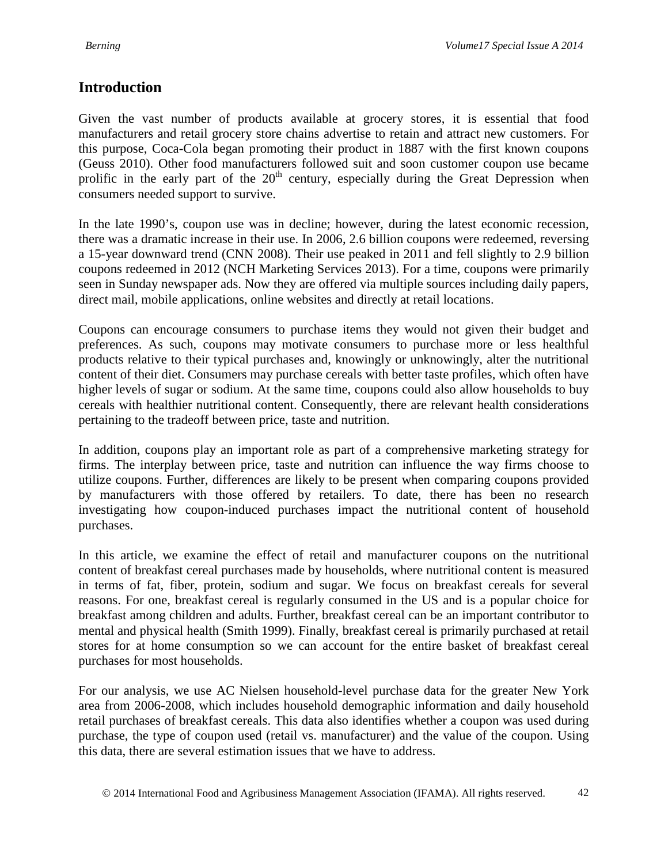## **Introduction**

Given the vast number of products available at grocery stores, it is essential that food manufacturers and retail grocery store chains advertise to retain and attract new customers. For this purpose, Coca-Cola began promoting their product in 1887 with the first known coupons (Geuss 2010). Other food manufacturers followed suit and soon customer coupon use became prolific in the early part of the  $20<sup>th</sup>$  century, especially during the Great Depression when consumers needed support to survive.

In the late 1990's, coupon use was in decline; however, during the latest economic recession, there was a dramatic increase in their use. In 2006, 2.6 billion coupons were redeemed, reversing a 15-year downward trend (CNN 2008). Their use peaked in 2011 and fell slightly to 2.9 billion coupons redeemed in 2012 (NCH Marketing Services 2013). For a time, coupons were primarily seen in Sunday newspaper ads. Now they are offered via multiple sources including daily papers, direct mail, mobile applications, online websites and directly at retail locations.

Coupons can encourage consumers to purchase items they would not given their budget and preferences. As such, coupons may motivate consumers to purchase more or less healthful products relative to their typical purchases and, knowingly or unknowingly, alter the nutritional content of their diet. Consumers may purchase cereals with better taste profiles, which often have higher levels of sugar or sodium. At the same time, coupons could also allow households to buy cereals with healthier nutritional content. Consequently, there are relevant health considerations pertaining to the tradeoff between price, taste and nutrition.

In addition, coupons play an important role as part of a comprehensive marketing strategy for firms. The interplay between price, taste and nutrition can influence the way firms choose to utilize coupons. Further, differences are likely to be present when comparing coupons provided by manufacturers with those offered by retailers. To date, there has been no research investigating how coupon-induced purchases impact the nutritional content of household purchases.

In this article, we examine the effect of retail and manufacturer coupons on the nutritional content of breakfast cereal purchases made by households, where nutritional content is measured in terms of fat, fiber, protein, sodium and sugar. We focus on breakfast cereals for several reasons. For one, breakfast cereal is regularly consumed in the US and is a popular choice for breakfast among children and adults. Further, breakfast cereal can be an important contributor to mental and physical health (Smith 1999). Finally, breakfast cereal is primarily purchased at retail stores for at home consumption so we can account for the entire basket of breakfast cereal purchases for most households.

For our analysis, we use AC Nielsen household-level purchase data for the greater New York area from 2006-2008, which includes household demographic information and daily household retail purchases of breakfast cereals. This data also identifies whether a coupon was used during purchase, the type of coupon used (retail vs. manufacturer) and the value of the coupon. Using this data, there are several estimation issues that we have to address.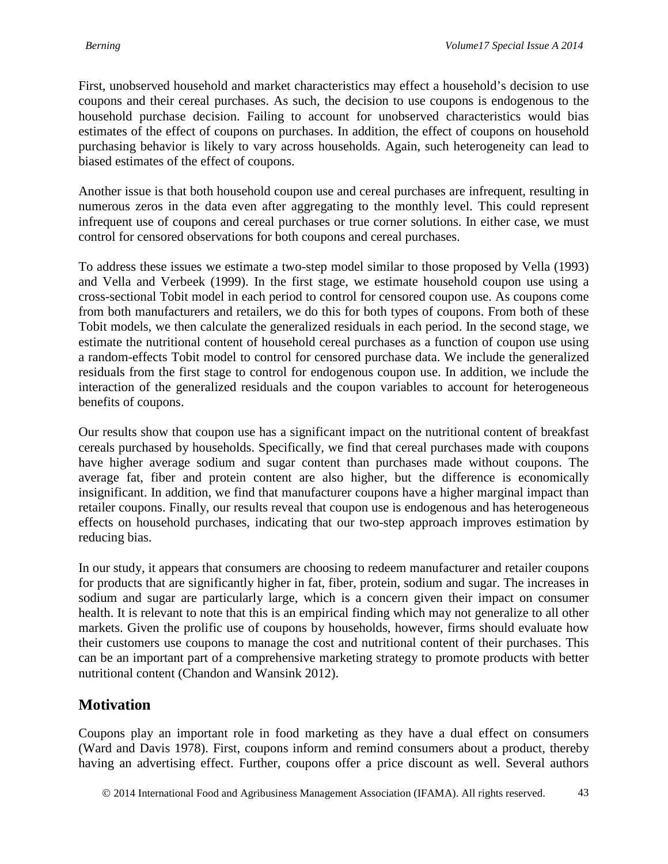First, unobserved household and market characteristics may effect a household's decision to use coupons and their cereal purchases. As such, the decision to use coupons is endogenous to the household purchase decision. Failing to account for unobserved characteristics would bias estimates of the effect of coupons on purchases. In addition, the effect of coupons on household purchasing behavior is likely to vary across households. Again, such heterogeneity can lead to biased estimates of the effect of coupons.

Another issue is that both household coupon use and cereal purchases are infrequent, resulting in numerous zeros in the data even after aggregating to the monthly level. This could represent infrequent use of coupons and cereal purchases or true corner solutions. In either case, we must control for censored observations for both coupons and cereal purchases.

To address these issues we estimate a two-step model similar to those proposed by Vella (1993) and Vella and Verbeek (1999). In the first stage, we estimate household coupon use using a cross-sectional Tobit model in each period to control for censored coupon use. As coupons come from both manufacturers and retailers, we do this for both types of coupons. From both of these Tobit models, we then calculate the generalized residuals in each period. In the second stage, we estimate the nutritional content of household cereal purchases as a function of coupon use using a random-effects Tobit model to control for censored purchase data. We include the generalized residuals from the first stage to control for endogenous coupon use. In addition, we include the interaction of the generalized residuals and the coupon variables to account for heterogeneous benefits of coupons.

Our results show that coupon use has a significant impact on the nutritional content of breakfast cereals purchased by households. Specifically, we find that cereal purchases made with coupons have higher average sodium and sugar content than purchases made without coupons. The average fat, fiber and protein content are also higher, but the difference is economically insignificant. In addition, we find that manufacturer coupons have a higher marginal impact than retailer coupons. Finally, our results reveal that coupon use is endogenous and has heterogeneous effects on household purchases, indicating that our two-step approach improves estimation by reducing bias.

In our study, it appears that consumers are choosing to redeem manufacturer and retailer coupons for products that are significantly higher in fat, fiber, protein, sodium and sugar. The increases in sodium and sugar are particularly large, which is a concern given their impact on consumer health. It is relevant to note that this is an empirical finding which may not generalize to all other markets. Given the prolific use of coupons by households, however, firms should evaluate how their customers use coupons to manage the cost and nutritional content of their purchases. This can be an important part of a comprehensive marketing strategy to promote products with better nutritional content (Chandon and Wansink 2012).

#### **Motivation**

Coupons play an important role in food marketing as they have a dual effect on consumers (Ward and Davis 1978). First, coupons inform and remind consumers about a product, thereby having an advertising effect. Further, coupons offer a price discount as well. Several authors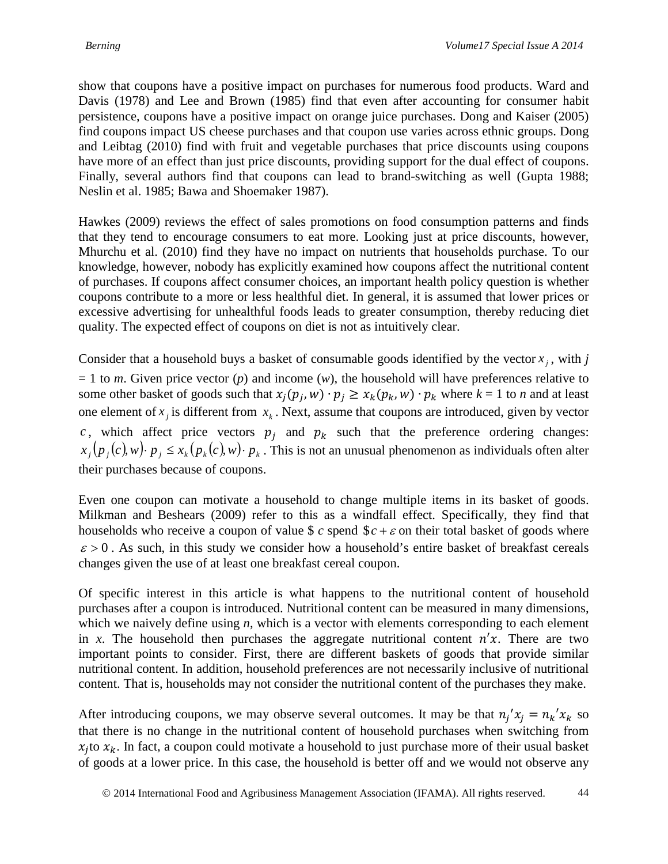show that coupons have a positive impact on purchases for numerous food products. Ward and Davis (1978) and Lee and Brown (1985) find that even after accounting for consumer habit persistence, coupons have a positive impact on orange juice purchases. Dong and Kaiser (2005) find coupons impact US cheese purchases and that coupon use varies across ethnic groups. Dong and Leibtag (2010) find with fruit and vegetable purchases that price discounts using coupons have more of an effect than just price discounts, providing support for the dual effect of coupons. Finally, several authors find that coupons can lead to brand-switching as well (Gupta 1988; Neslin et al. 1985; Bawa and Shoemaker 1987).

Hawkes (2009) reviews the effect of sales promotions on food consumption patterns and finds that they tend to encourage consumers to eat more. Looking just at price discounts, however, Mhurchu et al. (2010) find they have no impact on nutrients that households purchase. To our knowledge, however, nobody has explicitly examined how coupons affect the nutritional content of purchases. If coupons affect consumer choices, an important health policy question is whether coupons contribute to a more or less healthful diet. In general, it is assumed that lower prices or excessive advertising for unhealthful foods leads to greater consumption, thereby reducing diet quality. The expected effect of coupons on diet is not as intuitively clear.

Consider that a household buys a basket of consumable goods identified by the vector  $x_j$ , with *j*  $= 1$  to *m*. Given price vector (*p*) and income (*w*), the household will have preferences relative to some other basket of goods such that  $x_j(p_j, w) \cdot p_j \ge x_k(p_k, w) \cdot p_k$  where  $k = 1$  to *n* and at least one element of  $x_j$  is different from  $x_k$ . Next, assume that coupons are introduced, given by vector c, which affect price vectors  $p_j$  and  $p_k$  such that the preference ordering changes:  $x_j(p_j(c), w) \cdot p_j \leq x_k(p_k(c), w) \cdot p_k$ . This is not an unusual phenomenon as individuals often alter their purchases because of coupons.

Even one coupon can motivate a household to change multiple items in its basket of goods. Milkman and Beshears (2009) refer to this as a windfall effect. Specifically, they find that households who receive a coupon of value \$  $c$  spend  $c + \varepsilon$  on their total basket of goods where  $\varepsilon > 0$ . As such, in this study we consider how a household's entire basket of breakfast cereals changes given the use of at least one breakfast cereal coupon.

Of specific interest in this article is what happens to the nutritional content of household purchases after a coupon is introduced. Nutritional content can be measured in many dimensions, which we naively define using *n*, which is a vector with elements corresponding to each element in *x*. The household then purchases the aggregate nutritional content  $n'x$ . There are two important points to consider. First, there are different baskets of goods that provide similar nutritional content. In addition, household preferences are not necessarily inclusive of nutritional content. That is, households may not consider the nutritional content of the purchases they make.

After introducing coupons, we may observe several outcomes. It may be that  $n_j' x_j = n_k' x_k$  so that there is no change in the nutritional content of household purchases when switching from  $x_i$  to  $x_k$ . In fact, a coupon could motivate a household to just purchase more of their usual basket of goods at a lower price. In this case, the household is better off and we would not observe any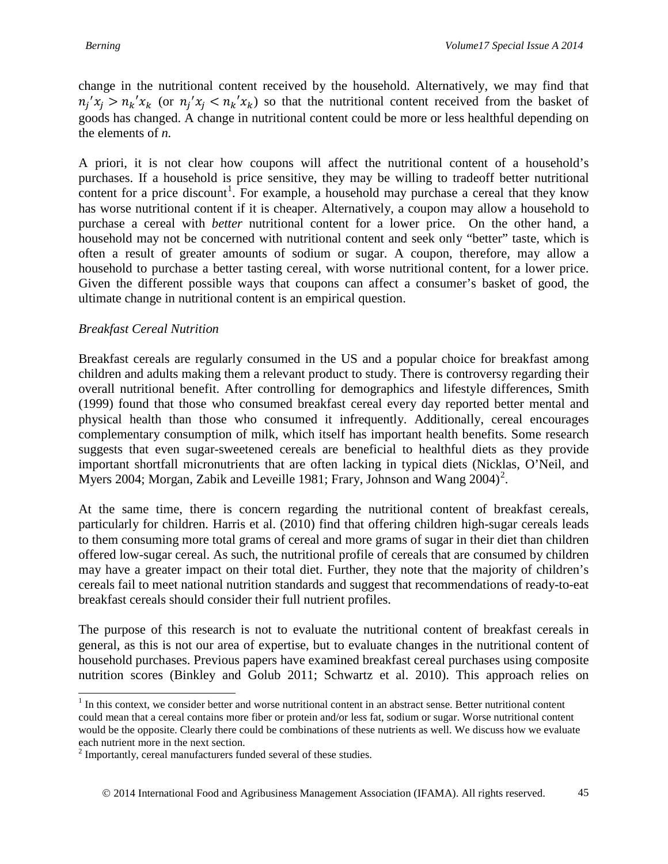change in the nutritional content received by the household. Alternatively, we may find that  $n_j'x_j > n_k'x_k$  (or  $n_j'x_j < n_k'x_k$ ) so that the nutritional content received from the basket of goods has changed. A change in nutritional content could be more or less healthful depending on the elements of *n.*

A priori, it is not clear how coupons will affect the nutritional content of a household's purchases. If a household is price sensitive, they may be willing to tradeoff better nutritional content for a price discount<sup>[1](#page-4-0)</sup>. For example, a household may purchase a cereal that they know has worse nutritional content if it is cheaper. Alternatively, a coupon may allow a household to purchase a cereal with *better* nutritional content for a lower price. On the other hand, a household may not be concerned with nutritional content and seek only "better" taste, which is often a result of greater amounts of sodium or sugar. A coupon, therefore, may allow a household to purchase a better tasting cereal, with worse nutritional content, for a lower price. Given the different possible ways that coupons can affect a consumer's basket of good, the ultimate change in nutritional content is an empirical question.

#### *Breakfast Cereal Nutrition*

Breakfast cereals are regularly consumed in the US and a popular choice for breakfast among children and adults making them a relevant product to study. There is controversy regarding their overall nutritional benefit. After controlling for demographics and lifestyle differences, Smith (1999) found that those who consumed breakfast cereal every day reported better mental and physical health than those who consumed it infrequently. Additionally, cereal encourages complementary consumption of milk, which itself has important health benefits. Some research suggests that even sugar-sweetened cereals are beneficial to healthful diets as they provide important shortfall micronutrients that are often lacking in typical diets (Nicklas, O'Neil, and Myers [2](#page-4-1)004; Morgan, Zabik and Leveille 1981; Frary, Johnson and Wang  $2004$ <sup>2</sup>.

At the same time, there is concern regarding the nutritional content of breakfast cereals, particularly for children. Harris et al. (2010) find that offering children high-sugar cereals leads to them consuming more total grams of cereal and more grams of sugar in their diet than children offered low-sugar cereal. As such, the nutritional profile of cereals that are consumed by children may have a greater impact on their total diet. Further, they note that the majority of children's cereals fail to meet national nutrition standards and suggest that recommendations of ready-to-eat breakfast cereals should consider their full nutrient profiles.

The purpose of this research is not to evaluate the nutritional content of breakfast cereals in general, as this is not our area of expertise, but to evaluate changes in the nutritional content of household purchases. Previous papers have examined breakfast cereal purchases using composite nutrition scores (Binkley and Golub 2011; Schwartz et al. 2010). This approach relies on

<span id="page-4-0"></span> $<sup>1</sup>$  In this context, we consider better and worse nutritional content in an abstract sense. Better nutritional content</sup> could mean that a cereal contains more fiber or protein and/or less fat, sodium or sugar. Worse nutritional content would be the opposite. Clearly there could be combinations of these nutrients as well. We discuss how we evaluate each nutrient more in the next section.

<span id="page-4-1"></span> $2$  Importantly, cereal manufacturers funded several of these studies.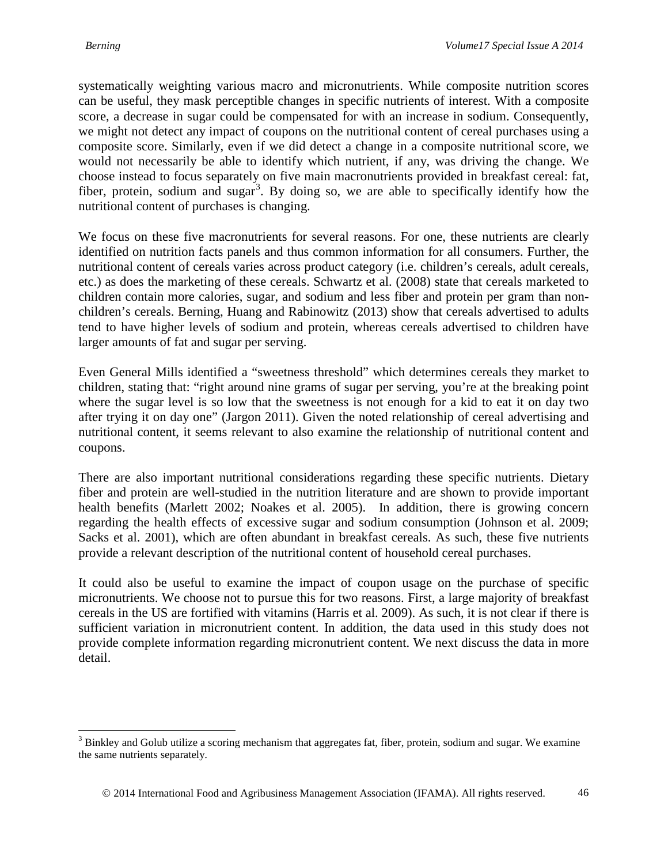systematically weighting various macro and micronutrients. While composite nutrition scores can be useful, they mask perceptible changes in specific nutrients of interest. With a composite score, a decrease in sugar could be compensated for with an increase in sodium. Consequently, we might not detect any impact of coupons on the nutritional content of cereal purchases using a composite score. Similarly, even if we did detect a change in a composite nutritional score, we would not necessarily be able to identify which nutrient, if any, was driving the change. We choose instead to focus separately on five main macronutrients provided in breakfast cereal: fat, fiber, protein, sodium and sugar<sup>[3](#page-5-0)</sup>. By doing so, we are able to specifically identify how the nutritional content of purchases is changing.

We focus on these five macronutrients for several reasons. For one, these nutrients are clearly identified on nutrition facts panels and thus common information for all consumers. Further, the nutritional content of cereals varies across product category (i.e. children's cereals, adult cereals, etc.) as does the marketing of these cereals. Schwartz et al. (2008) state that cereals marketed to children contain more calories, sugar, and sodium and less fiber and protein per gram than nonchildren's cereals. Berning, Huang and Rabinowitz (2013) show that cereals advertised to adults tend to have higher levels of sodium and protein, whereas cereals advertised to children have larger amounts of fat and sugar per serving.

Even General Mills identified a "sweetness threshold" which determines cereals they market to children, stating that: "right around nine grams of sugar per serving, you're at the breaking point where the sugar level is so low that the sweetness is not enough for a kid to eat it on day two after trying it on day one" (Jargon 2011). Given the noted relationship of cereal advertising and nutritional content, it seems relevant to also examine the relationship of nutritional content and coupons.

There are also important nutritional considerations regarding these specific nutrients. Dietary fiber and protein are well-studied in the nutrition literature and are shown to provide important health benefits (Marlett 2002; Noakes et al. 2005). In addition, there is growing concern regarding the health effects of excessive sugar and sodium consumption (Johnson et al. 2009; Sacks et al. 2001), which are often abundant in breakfast cereals. As such, these five nutrients provide a relevant description of the nutritional content of household cereal purchases.

It could also be useful to examine the impact of coupon usage on the purchase of specific micronutrients. We choose not to pursue this for two reasons. First, a large majority of breakfast cereals in the US are fortified with vitamins (Harris et al. 2009). As such, it is not clear if there is sufficient variation in micronutrient content. In addition, the data used in this study does not provide complete information regarding micronutrient content. We next discuss the data in more detail.

<span id="page-5-0"></span><sup>&</sup>lt;sup>3</sup> Binkley and Golub utilize a scoring mechanism that aggregates fat, fiber, protein, sodium and sugar. We examine the same nutrients separately.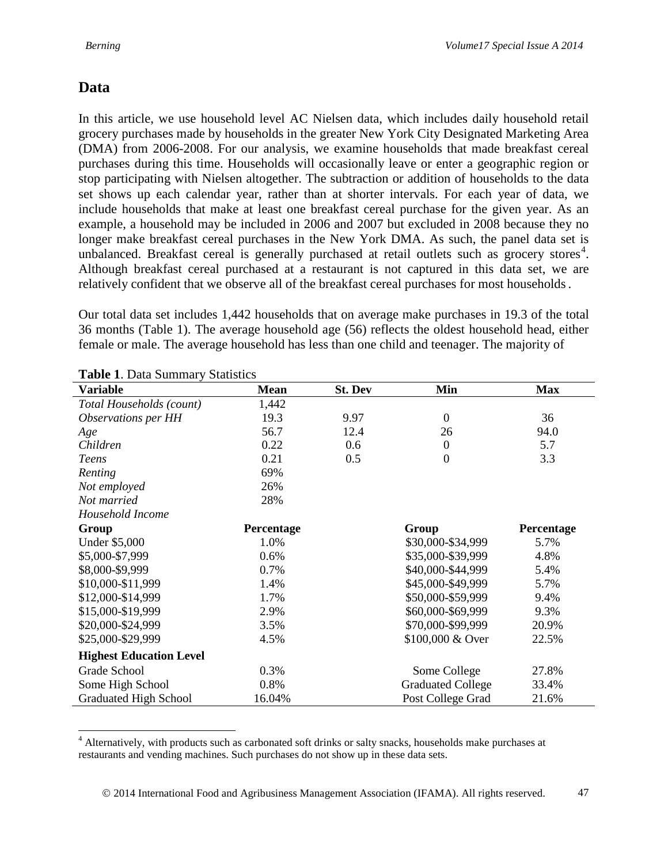## **Data**

In this article, we use household level AC Nielsen data, which includes daily household retail grocery purchases made by households in the greater New York City Designated Marketing Area (DMA) from 2006-2008. For our analysis, we examine households that made breakfast cereal purchases during this time. Households will occasionally leave or enter a geographic region or stop participating with Nielsen altogether. The subtraction or addition of households to the data set shows up each calendar year, rather than at shorter intervals. For each year of data, we include households that make at least one breakfast cereal purchase for the given year. As an example, a household may be included in 2006 and 2007 but excluded in 2008 because they no longer make breakfast cereal purchases in the New York DMA. As such, the panel data set is unbalanced. Breakfast cereal is generally purchased at retail outlets such as grocery stores<sup>[4](#page-6-0)</sup>. Although breakfast cereal purchased at a restaurant is not captured in this data set, we are relatively confident that we observe all of the breakfast cereal purchases for most households.

Our total data set includes 1,442 households that on average make purchases in 19.3 of the total 36 months (Table 1). The average household age (56) reflects the oldest household head, either female or male. The average household has less than one child and teenager. The majority of

| <b>Table 1.</b> Data Builling y Blatistics |             |                |                          |            |
|--------------------------------------------|-------------|----------------|--------------------------|------------|
| <b>Variable</b>                            | <b>Mean</b> | <b>St. Dev</b> | Min                      | <b>Max</b> |
| Total Households (count)                   | 1,442       |                |                          |            |
| Observations per HH                        | 19.3        | 9.97           | $\mathbf{0}$             | 36         |
| Age                                        | 56.7        | 12.4           | 26                       | 94.0       |
| Children                                   | 0.22        | 0.6            | $\overline{0}$           | 5.7        |
| <b>Teens</b>                               | 0.21        | 0.5            | $\overline{0}$           | 3.3        |
| Renting                                    | 69%         |                |                          |            |
| Not employed                               | 26%         |                |                          |            |
| Not married                                | 28%         |                |                          |            |
| Household Income                           |             |                |                          |            |
| Group                                      | Percentage  |                | Group                    | Percentage |
| <b>Under \$5,000</b>                       | 1.0%        |                | \$30,000-\$34,999        | 5.7%       |
| \$5,000-\$7,999                            | 0.6%        |                | \$35,000-\$39,999        | 4.8%       |
| \$8,000-\$9,999                            | 0.7%        |                | \$40,000-\$44,999        | 5.4%       |
| \$10,000-\$11,999                          | 1.4%        |                | \$45,000-\$49,999        | 5.7%       |
| \$12,000-\$14,999                          | 1.7%        |                | \$50,000-\$59,999        | 9.4%       |
| \$15,000-\$19,999                          | 2.9%        |                | \$60,000-\$69,999        | 9.3%       |
| \$20,000-\$24,999                          | 3.5%        |                | \$70,000-\$99,999        | 20.9%      |
| \$25,000-\$29,999                          | 4.5%        |                | \$100,000 & Over         | 22.5%      |
| <b>Highest Education Level</b>             |             |                |                          |            |
| Grade School                               | 0.3%        |                | Some College             | 27.8%      |
| Some High School                           | 0.8%        |                | <b>Graduated College</b> | 33.4%      |
| <b>Graduated High School</b>               | 16.04%      |                | Post College Grad        | 21.6%      |

**Table 1**. Data Summary Statistics

<span id="page-6-0"></span><sup>&</sup>lt;sup>4</sup> Alternatively, with products such as carbonated soft drinks or salty snacks, households make purchases at restaurants and vending machines. Such purchases do not show up in these data sets.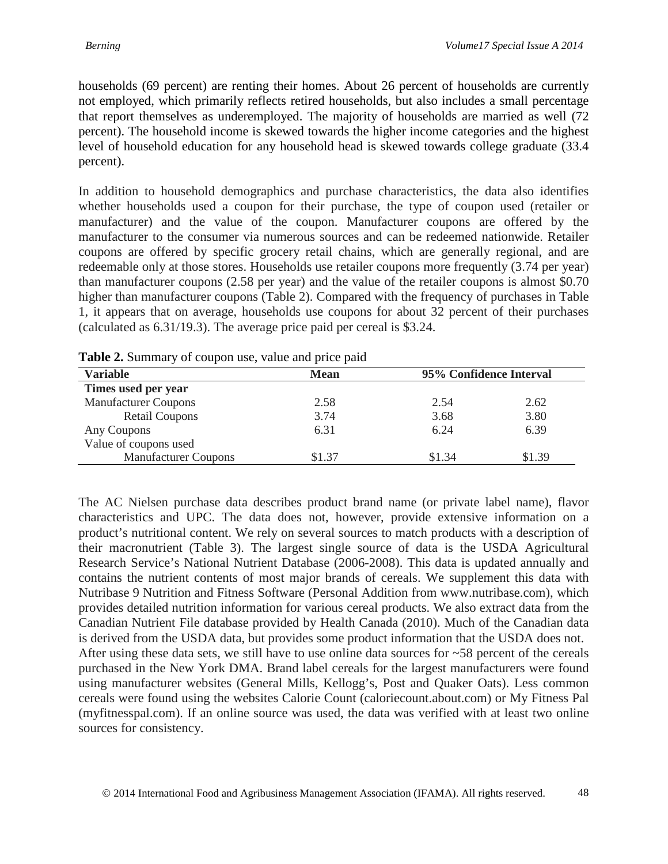households (69 percent) are renting their homes. About 26 percent of households are currently not employed, which primarily reflects retired households, but also includes a small percentage that report themselves as underemployed. The majority of households are married as well (72 percent). The household income is skewed towards the higher income categories and the highest level of household education for any household head is skewed towards college graduate (33.4 percent).

In addition to household demographics and purchase characteristics, the data also identifies whether households used a coupon for their purchase, the type of coupon used (retailer or manufacturer) and the value of the coupon. Manufacturer coupons are offered by the manufacturer to the consumer via numerous sources and can be redeemed nationwide. Retailer coupons are offered by specific grocery retail chains, which are generally regional, and are redeemable only at those stores. Households use retailer coupons more frequently (3.74 per year) than manufacturer coupons (2.58 per year) and the value of the retailer coupons is almost \$0.70 higher than manufacturer coupons (Table 2). Compared with the frequency of purchases in Table 1, it appears that on average, households use coupons for about 32 percent of their purchases (calculated as 6.31/19.3). The average price paid per cereal is \$3.24.

| <b>Variable</b>             | <b>Mean</b> | 95% Confidence Interval |        |
|-----------------------------|-------------|-------------------------|--------|
| Times used per year         |             |                         |        |
| <b>Manufacturer Coupons</b> | 2.58        | 2.54                    | 2.62   |
| <b>Retail Coupons</b>       | 3.74        | 3.68                    | 3.80   |
| Any Coupons                 | 6.31        | 6.24                    | 6.39   |
| Value of coupons used       |             |                         |        |
| <b>Manufacturer Coupons</b> | \$1.37      | \$1.34                  | \$1.39 |

**Table 2.** Summary of coupon use, value and price paid

The AC Nielsen purchase data describes product brand name (or private label name), flavor characteristics and UPC. The data does not, however, provide extensive information on a product's nutritional content. We rely on several sources to match products with a description of their macronutrient (Table 3). The largest single source of data is the USDA Agricultural Research Service's National Nutrient Database (2006-2008). This data is updated annually and contains the nutrient contents of most major brands of cereals. We supplement this data with Nutribase 9 Nutrition and Fitness Software (Personal Addition from www.nutribase.com), which provides detailed nutrition information for various cereal products. We also extract data from the Canadian Nutrient File database provided by Health Canada (2010). Much of the Canadian data is derived from the USDA data, but provides some product information that the USDA does not. After using these data sets, we still have to use online data sources for ~58 percent of the cereals purchased in the New York DMA. Brand label cereals for the largest manufacturers were found using manufacturer websites (General Mills, Kellogg's, Post and Quaker Oats). Less common cereals were found using the websites Calorie Count (caloriecount.about.com) or My Fitness Pal (myfitnesspal.com). If an online source was used, the data was verified with at least two online sources for consistency.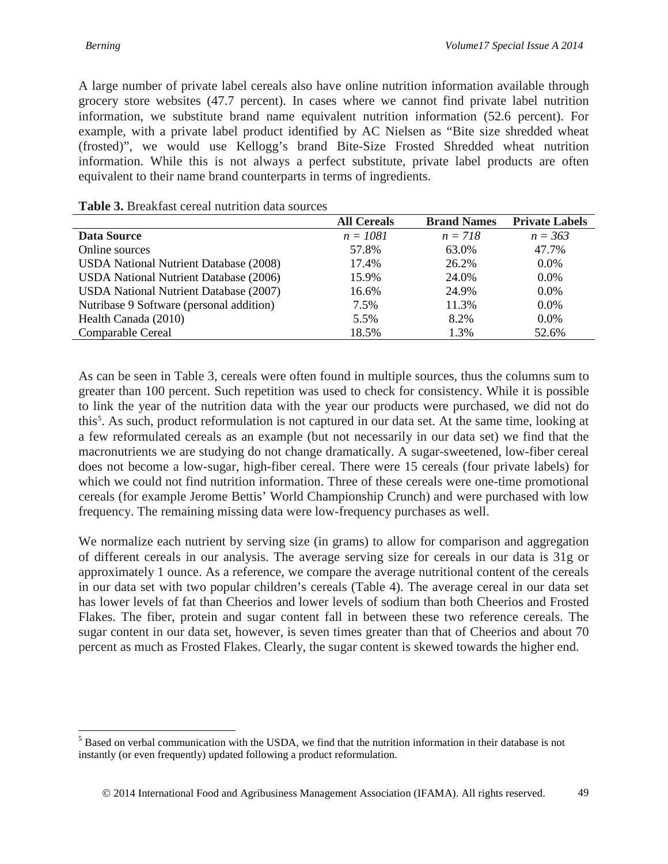A large number of private label cereals also have online nutrition information available through grocery store websites (47.7 percent). In cases where we cannot find private label nutrition information, we substitute brand name equivalent nutrition information (52.6 percent). For example, with a private label product identified by AC Nielsen as "Bite size shredded wheat (frosted)", we would use Kellogg's brand Bite-Size Frosted Shredded wheat nutrition information. While this is not always a perfect substitute, private label products are often equivalent to their name brand counterparts in terms of ingredients.

|                                               | <b>All Cereals</b> | <b>Brand Names</b> | <b>Private Labels</b> |
|-----------------------------------------------|--------------------|--------------------|-----------------------|
| Data Source                                   | $n = 1081$         | $n = 718$          | $n = 363$             |
| Online sources                                | 57.8%              | 63.0%              | 47.7%                 |
| <b>USDA</b> National Nutrient Database (2008) | 17.4%              | 26.2%              | $0.0\%$               |
| <b>USDA</b> National Nutrient Database (2006) | 15.9%              | 24.0%              | $0.0\%$               |
| <b>USDA</b> National Nutrient Database (2007) | 16.6%              | 24.9%              | 0.0%                  |
| Nutribase 9 Software (personal addition)      | 7.5%               | 11.3%              | $0.0\%$               |
| Health Canada (2010)                          | 5.5%               | 8.2%               | $0.0\%$               |
| <b>Comparable Cereal</b>                      | 18.5%              | 1.3%               | 52.6%                 |

#### **Table 3.** Breakfast cereal nutrition data sources

As can be seen in Table 3, cereals were often found in multiple sources, thus the columns sum to greater than 100 percent. Such repetition was used to check for consistency. While it is possible to link the year of the nutrition data with the year our products were purchased, we did not do this<sup>[5](#page-8-0)</sup>. As such, product reformulation is not captured in our data set. At the same time, looking at a few reformulated cereals as an example (but not necessarily in our data set) we find that the macronutrients we are studying do not change dramatically. A sugar-sweetened, low-fiber cereal does not become a low-sugar, high-fiber cereal. There were 15 cereals (four private labels) for which we could not find nutrition information. Three of these cereals were one-time promotional cereals (for example Jerome Bettis' World Championship Crunch) and were purchased with low frequency. The remaining missing data were low-frequency purchases as well.

We normalize each nutrient by serving size (in grams) to allow for comparison and aggregation of different cereals in our analysis. The average serving size for cereals in our data is 31g or approximately 1 ounce. As a reference, we compare the average nutritional content of the cereals in our data set with two popular children's cereals (Table 4). The average cereal in our data set has lower levels of fat than Cheerios and lower levels of sodium than both Cheerios and Frosted Flakes. The fiber, protein and sugar content fall in between these two reference cereals. The sugar content in our data set, however, is seven times greater than that of Cheerios and about 70 percent as much as Frosted Flakes. Clearly, the sugar content is skewed towards the higher end.

<span id="page-8-0"></span><sup>&</sup>lt;sup>5</sup> Based on verbal communication with the USDA, we find that the nutrition information in their database is not instantly (or even frequently) updated following a product reformulation.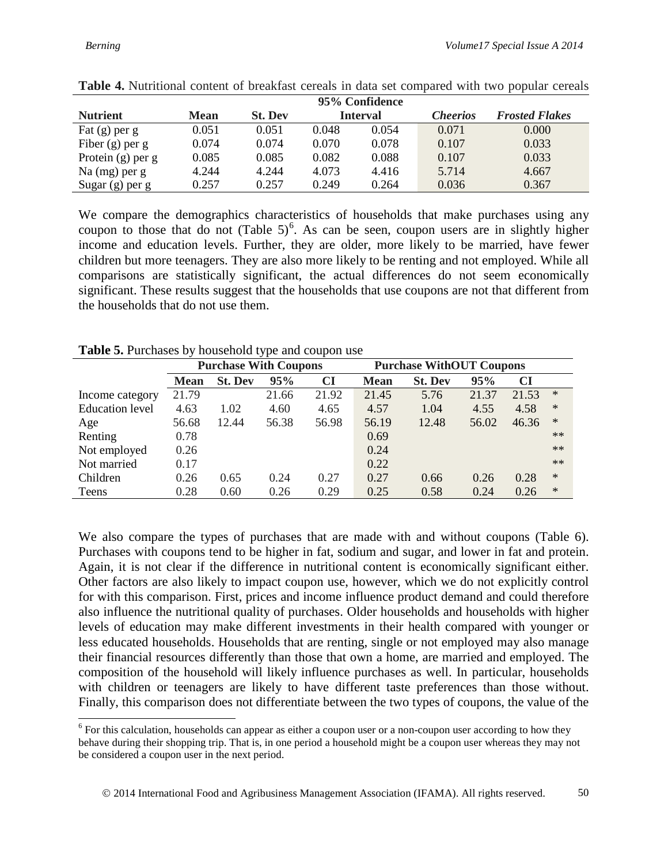|                     |             |                |       | 95% Confidence  |                 |                       |
|---------------------|-------------|----------------|-------|-----------------|-----------------|-----------------------|
| <b>Nutrient</b>     | <b>Mean</b> | <b>St. Dev</b> |       | <b>Interval</b> | <i>Cheerios</i> | <b>Frosted Flakes</b> |
| Fat $(g)$ per $g$   | 0.051       | 0.051          | 0.048 | 0.054           | 0.071           | 0.000                 |
| Fiber $(g)$ per g   | 0.074       | 0.074          | 0.070 | 0.078           | 0.107           | 0.033                 |
| Protein $(g)$ per g | 0.085       | 0.085          | 0.082 | 0.088           | 0.107           | 0.033                 |
| Na $(mg)$ per g     | 4.244       | 4.244          | 4.073 | 4.416           | 5.714           | 4.667                 |
| Sugar $(g)$ per $g$ | 0.257       | 0.257          | 0.249 | 0.264           | 0.036           | 0.367                 |

| Table 4. Nutritional content of breakfast cereals in data set compared with two popular cereals |  |  |  |  |  |  |  |
|-------------------------------------------------------------------------------------------------|--|--|--|--|--|--|--|
|-------------------------------------------------------------------------------------------------|--|--|--|--|--|--|--|

We compare the demographics characteristics of households that make purchases using any coupon to those that do not  $(Table 5)^6$  $(Table 5)^6$ . As can be seen, coupon users are in slightly higher income and education levels. Further, they are older, more likely to be married, have fewer children but more teenagers. They are also more likely to be renting and not employed. While all comparisons are statistically significant, the actual differences do not seem economically significant. These results suggest that the households that use coupons are not that different from the households that do not use them.

|                        |             | <b>Purchase With Coupons</b> |       |           | <b>Purchase WithOUT Coupons</b> |                |       |       |        |
|------------------------|-------------|------------------------------|-------|-----------|---------------------------------|----------------|-------|-------|--------|
|                        | <b>Mean</b> | <b>St. Dev</b>               | 95%   | <b>CI</b> | <b>Mean</b>                     | <b>St. Dev</b> | 95%   | CI    |        |
| Income category        | 21.79       |                              | 21.66 | 21.92     | 21.45                           | 5.76           | 21.37 | 21.53 | $\ast$ |
| <b>Education</b> level | 4.63        | 1.02                         | 4.60  | 4.65      | 4.57                            | 1.04           | 4.55  | 4.58  | $\ast$ |
| Age                    | 56.68       | 12.44                        | 56.38 | 56.98     | 56.19                           | 12.48          | 56.02 | 46.36 | $\ast$ |
| Renting                | 0.78        |                              |       |           | 0.69                            |                |       |       | $**$   |
| Not employed           | 0.26        |                              |       |           | 0.24                            |                |       |       | $**$   |
| Not married            | 0.17        |                              |       |           | 0.22                            |                |       |       | $**$   |
| Children               | 0.26        | 0.65                         | 0.24  | 0.27      | 0.27                            | 0.66           | 0.26  | 0.28  | $\ast$ |
| Teens                  | 0.28        | 0.60                         | 0.26  | 0.29      | 0.25                            | 0.58           | 0.24  | 0.26  | $\ast$ |

**Table 5.** Purchases by household type and coupon use

We also compare the types of purchases that are made with and without coupons (Table 6). Purchases with coupons tend to be higher in fat, sodium and sugar, and lower in fat and protein. Again, it is not clear if the difference in nutritional content is economically significant either. Other factors are also likely to impact coupon use, however, which we do not explicitly control for with this comparison. First, prices and income influence product demand and could therefore also influence the nutritional quality of purchases. Older households and households with higher levels of education may make different investments in their health compared with younger or less educated households. Households that are renting, single or not employed may also manage their financial resources differently than those that own a home, are married and employed. The composition of the household will likely influence purchases as well. In particular, households with children or teenagers are likely to have different taste preferences than those without. Finally, this comparison does not differentiate between the two types of coupons, the value of the

<span id="page-9-0"></span><sup>&</sup>lt;sup>6</sup> For this calculation, households can appear as either a coupon user or a non-coupon user according to how they behave during their shopping trip. That is, in one period a household might be a coupon user whereas they may not be considered a coupon user in the next period.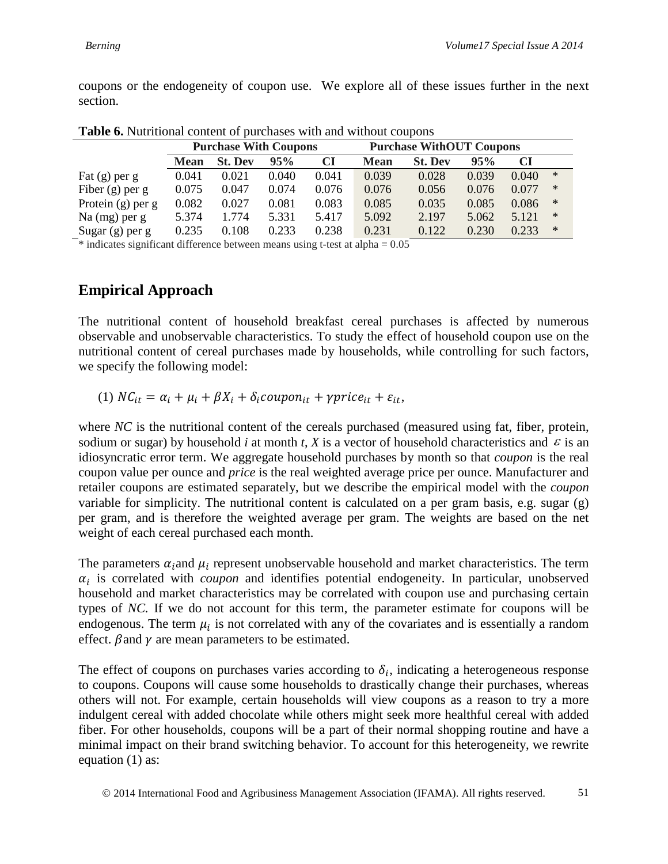coupons or the endogeneity of coupon use. We explore all of these issues further in the next section.

|                     |             | <b>Purchase With Coupons</b> |       |       | <b>Purchase WithOUT Coupons</b> |                |       |       |        |
|---------------------|-------------|------------------------------|-------|-------|---------------------------------|----------------|-------|-------|--------|
|                     | <b>Mean</b> | <b>St. Dev</b>               | 95%   | CI    | <b>Mean</b>                     | <b>St. Dev</b> | 95%   | CI    |        |
| Fat $(g)$ per g     | 0.041       | 0.021                        | 0.040 | 0.041 | 0.039                           | 0.028          | 0.039 | 0.040 | $\ast$ |
| Fiber $(g)$ per g   | 0.075       | 0.047                        | 0.074 | 0.076 | 0.076                           | 0.056          | 0.076 | 0.077 | $\ast$ |
| Protein $(g)$ per g | 0.082       | 0.027                        | 0.081 | 0.083 | 0.085                           | 0.035          | 0.085 | 0.086 | $\ast$ |
| Na $(mg)$ per g     | 5.374       | .774                         | 5.331 | 5.417 | 5.092                           | 2.197          | 5.062 | 5.121 | $\ast$ |
| Sugar $(g)$ per $g$ | 0.235       | 0.108                        | 0.233 | 0.238 | 0.231                           | 0.122          | 0.230 | 0.233 | $\ast$ |

| Table 6. Nutritional content of purchases with and without coupons |  |  |  |  |  |  |
|--------------------------------------------------------------------|--|--|--|--|--|--|
|--------------------------------------------------------------------|--|--|--|--|--|--|

 $\overline{\phantom{a}}$  \* indicates significant difference between means using t-test at alpha = 0.05

#### **Empirical Approach**

The nutritional content of household breakfast cereal purchases is affected by numerous observable and unobservable characteristics. To study the effect of household coupon use on the nutritional content of cereal purchases made by households, while controlling for such factors, we specify the following model:

$$
(1) NC_{it} = \alpha_i + \mu_i + \beta X_i + \delta_i coupon_{it} + \gamma price_{it} + \varepsilon_{it},
$$

where *NC* is the nutritional content of the cereals purchased (measured using fat, fiber, protein, sodium or sugar) by household *i* at month *t*, *X* is a vector of household characteristics and  $\varepsilon$  is an idiosyncratic error term. We aggregate household purchases by month so that *coupon* is the real coupon value per ounce and *price* is the real weighted average price per ounce. Manufacturer and retailer coupons are estimated separately, but we describe the empirical model with the *coupon* variable for simplicity. The nutritional content is calculated on a per gram basis, e.g. sugar (g) per gram, and is therefore the weighted average per gram. The weights are based on the net weight of each cereal purchased each month.

The parameters  $\alpha_i$  and  $\mu_i$  represent unobservable household and market characteristics. The term  $\alpha_i$  is correlated with *coupon* and identifies potential endogeneity. In particular, unobserved household and market characteristics may be correlated with coupon use and purchasing certain types of *NC.* If we do not account for this term, the parameter estimate for coupons will be endogenous. The term  $\mu_i$  is not correlated with any of the covariates and is essentially a random effect.  $\beta$  and  $\gamma$  are mean parameters to be estimated.

The effect of coupons on purchases varies according to  $\delta_i$ , indicating a heterogeneous response to coupons. Coupons will cause some households to drastically change their purchases, whereas others will not. For example, certain households will view coupons as a reason to try a more indulgent cereal with added chocolate while others might seek more healthful cereal with added fiber. For other households, coupons will be a part of their normal shopping routine and have a minimal impact on their brand switching behavior. To account for this heterogeneity, we rewrite equation (1) as: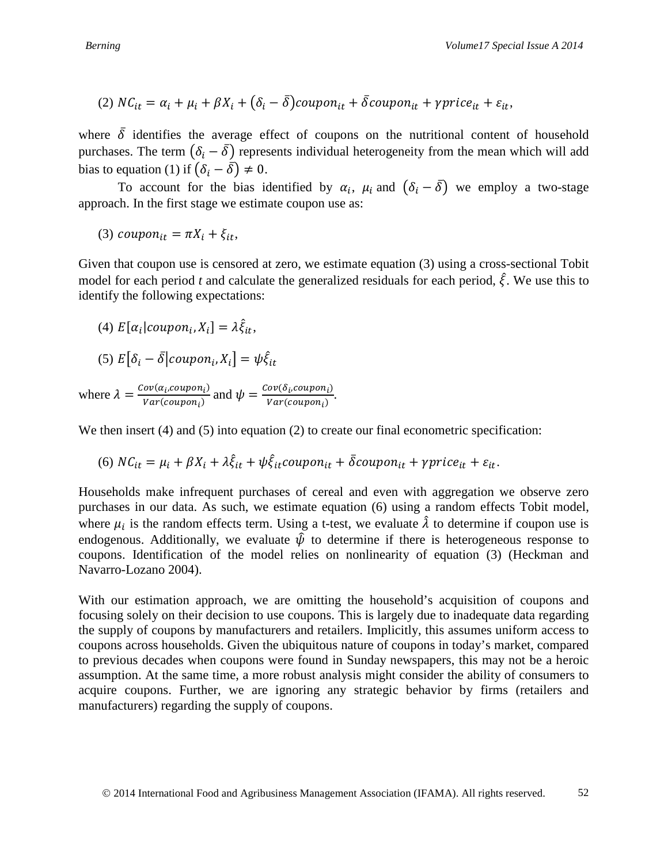(2) 
$$
NC_{it} = \alpha_i + \mu_i + \beta X_i + (\delta_i - \overline{\delta}) \text{cupon}_{it} + \overline{\delta} \text{cupon}_{it} + \gamma \text{price}_{it} + \varepsilon_{it},
$$

where  $\overline{\delta}$  identifies the average effect of coupons on the nutritional content of household purchases. The term  $(\delta_i - \delta)$  represents individual heterogeneity from the mean which will add bias to equation (1) if  $(\delta_i - \delta) \neq 0$ .

To account for the bias identified by  $\alpha_i$ ,  $\mu_i$  and  $(\delta_i - \overline{\delta})$  we employ a two-stage approach. In the first stage we estimate coupon use as:

(3)  $\text{coupon}_{it} = \pi X_i + \xi_{it},$ 

Given that coupon use is censored at zero, we estimate equation (3) using a cross-sectional Tobit model for each period *t* and calculate the generalized residuals for each period,  $\hat{\xi}$ . We use this to identify the following expectations:

(4) 
$$
E[\alpha_i | \text{cupon}_i, X_i] = \lambda \hat{\xi}_{it},
$$

$$
(5) E[\delta_i - \bar{\delta} | coupon_i, X_i] = \psi \hat{\xi}_{it}
$$

where  $\lambda = \frac{Cov(a_i, coupon_i)}{Var(coupon_i)}$  and  $\psi = \frac{Cov(\delta_i, coupon_i)}{Var(coupon_i)}$ .

We then insert (4) and (5) into equation (2) to create our final econometric specification:

(6) 
$$
NC_{it} = \mu_i + \beta X_i + \lambda \hat{\xi}_{it} + \psi \hat{\xi}_{it} \text{coupon}_{it} + \delta \text{coupon}_{it} + \gamma \text{price}_{it} + \varepsilon_{it}.
$$

Households make infrequent purchases of cereal and even with aggregation we observe zero purchases in our data. As such, we estimate equation (6) using a random effects Tobit model, where  $\mu_i$  is the random effects term. Using a t-test, we evaluate  $\hat{\lambda}$  to determine if coupon use is endogenous. Additionally, we evaluate  $\hat{\psi}$  to determine if there is heterogeneous response to coupons. Identification of the model relies on nonlinearity of equation (3) (Heckman and Navarro-Lozano 2004).

With our estimation approach, we are omitting the household's acquisition of coupons and focusing solely on their decision to use coupons. This is largely due to inadequate data regarding the supply of coupons by manufacturers and retailers. Implicitly, this assumes uniform access to coupons across households. Given the ubiquitous nature of coupons in today's market, compared to previous decades when coupons were found in Sunday newspapers, this may not be a heroic assumption. At the same time, a more robust analysis might consider the ability of consumers to acquire coupons. Further, we are ignoring any strategic behavior by firms (retailers and manufacturers) regarding the supply of coupons.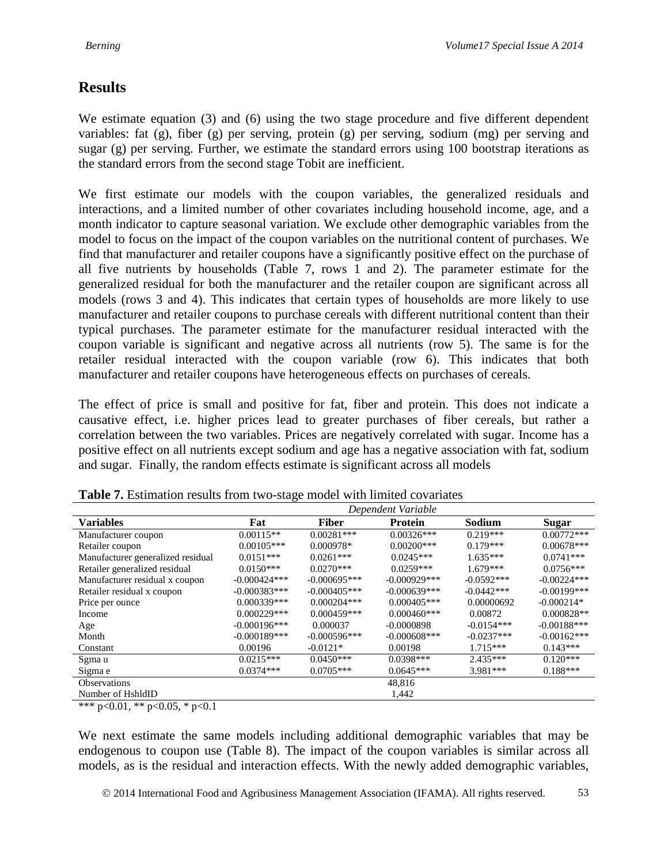# **Results**

We estimate equation (3) and (6) using the two stage procedure and five different dependent variables: fat (g), fiber (g) per serving, protein (g) per serving, sodium (mg) per serving and sugar  $(g)$  per serving. Further, we estimate the standard errors using 100 bootstrap iterations as the standard errors from the second stage Tobit are inefficient.

We first estimate our models with the coupon variables, the generalized residuals and interactions, and a limited number of other covariates including household income, age, and a month indicator to capture seasonal variation. We exclude other demographic variables from the model to focus on the impact of the coupon variables on the nutritional content of purchases. We find that manufacturer and retailer coupons have a significantly positive effect on the purchase of all five nutrients by households (Table 7, rows 1 and 2). The parameter estimate for the generalized residual for both the manufacturer and the retailer coupon are significant across all models (rows 3 and 4). This indicates that certain types of households are more likely to use manufacturer and retailer coupons to purchase cereals with different nutritional content than their typical purchases. The parameter estimate for the manufacturer residual interacted with the coupon variable is significant and negative across all nutrients (row 5). The same is for the retailer residual interacted with the coupon variable (row 6). This indicates that both manufacturer and retailer coupons have heterogeneous effects on purchases of cereals.

The effect of price is small and positive for fat, fiber and protein. This does not indicate a causative effect, i.e. higher prices lead to greater purchases of fiber cereals, but rather a correlation between the two variables. Prices are negatively correlated with sugar. Income has a positive effect on all nutrients except sodium and age has a negative association with fat, sodium and sugar. Finally, the random effects estimate is significant across all models

|                                   |                 |                | Dependent Variable |              |                |
|-----------------------------------|-----------------|----------------|--------------------|--------------|----------------|
| <b>Variables</b>                  | Fat             | <b>Fiber</b>   | Protein            | Sodium       | Sugar          |
| Manufacturer coupon               | $0.00115**$     | $0.00281***$   | $0.00326***$       | $0.219***$   | $0.00772***$   |
| Retailer coupon                   | $0.00105***$    | $0.000978*$    | $0.00200$ ***      | $0.179***$   | $0.00678***$   |
| Manufacturer generalized residual | $0.0151***$     | $0.0261***$    | $0.0245***$        | $1.635***$   | $0.0741***$    |
| Retailer generalized residual     | $0.0150***$     | $0.0270***$    | $0.0259***$        | $1.679***$   | $0.0756***$    |
| Manufacturer residual x coupon    | $-0.000424***$  | $-0.000695***$ | $-0.000929***$     | $-0.0592***$ | $-0.00224***$  |
| Retailer residual x coupon        | $-0.000383***$  | $-0.000405***$ | $-0.000639***$     | $-0.0442***$ | $-0.00199$ *** |
| Price per ounce                   | $0.000339***$   | $0.000204***$  | $0.000405***$      | 0.00000692   | $-0.000214*$   |
| Income                            | $0.000229***$   | $0.000459***$  | $0.000460***$      | 0.00872      | $0.000828**$   |
| Age                               | $-0.000196$ *** | 0.000037       | $-0.0000898$       | $-0.0154***$ | $-0.00188$ *** |
| Month                             | $-0.000189***$  | $-0.000596***$ | $-0.000608$ ***    | $-0.0237***$ | $-0.00162***$  |
| Constant                          | 0.00196         | $-0.0121*$     | 0.00198            | $1.715***$   | $0.143***$     |
| Sgma u                            | $0.0215***$     | $0.0450***$    | $0.0398***$        | $2.435***$   | $0.120***$     |
| Sigma e                           | $0.0374***$     | $0.0705***$    | $0.0645***$        | $3.981***$   | $0.188***$     |
| <b>Observations</b>               |                 |                | 48,816             |              |                |
| Number of HshldID                 |                 |                | 1,442              |              |                |

**Table 7.** Estimation results from two-stage model with limited covariates

\*\*\* p<0.01, \*\* p<0.05, \* p<0.1

We next estimate the same models including additional demographic variables that may be endogenous to coupon use (Table 8). The impact of the coupon variables is similar across all models, as is the residual and interaction effects. With the newly added demographic variables,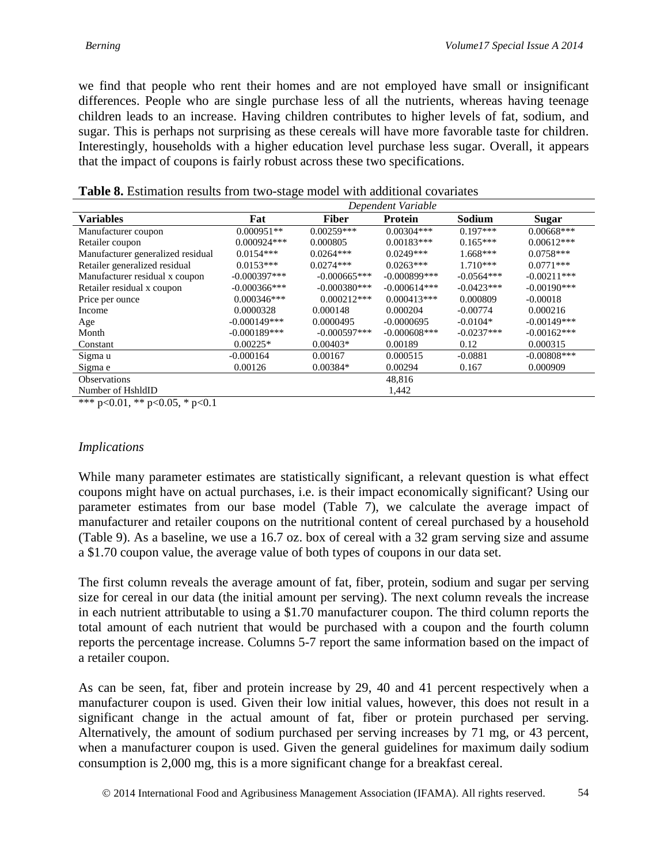we find that people who rent their homes and are not employed have small or insignificant differences. People who are single purchase less of all the nutrients, whereas having teenage children leads to an increase. Having children contributes to higher levels of fat, sodium, and sugar. This is perhaps not surprising as these cereals will have more favorable taste for children. Interestingly, households with a higher education level purchase less sugar. Overall, it appears that the impact of coupons is fairly robust across these two specifications.

|                                   |                 |                | Dependent Variable |              |                |
|-----------------------------------|-----------------|----------------|--------------------|--------------|----------------|
| <b>Variables</b>                  | Fat             | <b>Fiber</b>   | <b>Protein</b>     | Sodium       | Sugar          |
| Manufacturer coupon               | $0.000951**$    | $0.00259***$   | $0.00304***$       | $0.197***$   | $0.00668***$   |
| Retailer coupon                   | $0.000924***$   | 0.000805       | $0.00183***$       | $0.165***$   | $0.00612***$   |
| Manufacturer generalized residual | $0.0154***$     | $0.0264***$    | $0.0249***$        | $1.668***$   | $0.0758***$    |
| Retailer generalized residual     | $0.0153***$     | $0.0274***$    | $0.0263***$        | $1.710***$   | $0.0771***$    |
| Manufacturer residual x coupon    | $-0.000397***$  | $-0.000665***$ | $-0.000899$ ***    | $-0.0564***$ | $-0.00211$ *** |
| Retailer residual x coupon        | $-0.000366$ *** | $-0.000380***$ | $-0.000614***$     | $-0.0423***$ | $-0.00190$ *** |
| Price per ounce                   | $0.000346***$   | $0.000212***$  | $0.000413***$      | 0.000809     | $-0.00018$     |
| Income                            | 0.0000328       | 0.000148       | 0.000204           | $-0.00774$   | 0.000216       |
| Age                               | $-0.000149***$  | 0.0000495      | $-0.0000695$       | $-0.0104*$   | $-0.00149***$  |
| Month                             | $-0.000189***$  | $-0.000597***$ | $-0.000608$ ***    | $-0.0237***$ | $-0.00162***$  |
| Constant                          | $0.00225*$      | $0.00403*$     | 0.00189            | 0.12         | 0.000315       |
| Sigma u                           | $-0.000164$     | 0.00167        | 0.000515           | $-0.0881$    | $-0.00808$ *** |
| Sigma e                           | 0.00126         | $0.00384*$     | 0.00294            | 0.167        | 0.000909       |
| <b>Observations</b>               |                 |                | 48,816             |              |                |
| Number of HshldID                 |                 |                | 1,442              |              |                |

| Table 8. Estimation results from two-stage model with additional covariates |  |
|-----------------------------------------------------------------------------|--|
|-----------------------------------------------------------------------------|--|

\*\*\* p<0.01, \*\* p<0.05, \* p<0.1

#### *Implications*

While many parameter estimates are statistically significant, a relevant question is what effect coupons might have on actual purchases, i.e. is their impact economically significant? Using our parameter estimates from our base model (Table 7), we calculate the average impact of manufacturer and retailer coupons on the nutritional content of cereal purchased by a household (Table 9). As a baseline, we use a 16.7 oz. box of cereal with a 32 gram serving size and assume a \$1.70 coupon value, the average value of both types of coupons in our data set.

The first column reveals the average amount of fat, fiber, protein, sodium and sugar per serving size for cereal in our data (the initial amount per serving). The next column reveals the increase in each nutrient attributable to using a \$1.70 manufacturer coupon. The third column reports the total amount of each nutrient that would be purchased with a coupon and the fourth column reports the percentage increase. Columns 5-7 report the same information based on the impact of a retailer coupon.

As can be seen, fat, fiber and protein increase by 29, 40 and 41 percent respectively when a manufacturer coupon is used. Given their low initial values, however, this does not result in a significant change in the actual amount of fat, fiber or protein purchased per serving. Alternatively, the amount of sodium purchased per serving increases by 71 mg, or 43 percent, when a manufacturer coupon is used. Given the general guidelines for maximum daily sodium consumption is 2,000 mg, this is a more significant change for a breakfast cereal.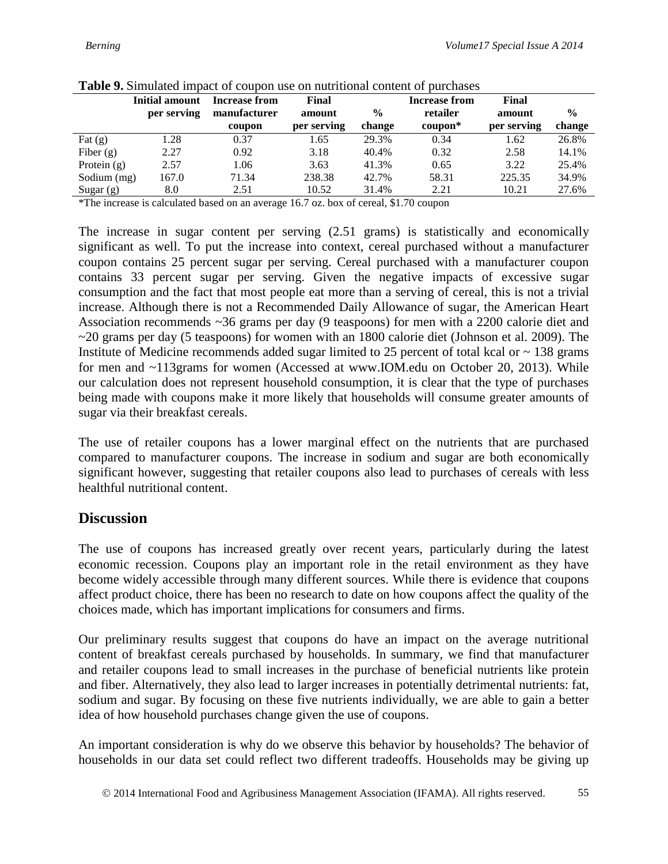| <b>Table 2.</b> Billulated hilpact of coupon use on humitional content of purchases |                |               |             |               |                              |             |               |
|-------------------------------------------------------------------------------------|----------------|---------------|-------------|---------------|------------------------------|-------------|---------------|
|                                                                                     | Initial amount | Increase from | Final       |               | <b>Increase from</b>         | Final       |               |
|                                                                                     | per serving    | manufacturer  | amount      | $\frac{0}{0}$ | retailer                     | amount      | $\frac{0}{0}$ |
|                                                                                     |                | coupon        | per serving | change        | $\mathbf{c} \mathbf{oupon*}$ | per serving | change        |
| Fat $(g)$                                                                           | 1.28           | 0.37          | 1.65        | 29.3%         | 0.34                         | 1.62        | 26.8%         |
| Fiber $(g)$                                                                         | 2.27           | 0.92          | 3.18        | 40.4%         | 0.32                         | 2.58        | 14.1%         |
| Protein $(g)$                                                                       | 2.57           | 1.06          | 3.63        | 41.3%         | 0.65                         | 3.22        | 25.4%         |
| Sodium (mg)                                                                         | 167.0          | 71.34         | 238.38      | 42.7%         | 58.31                        | 225.35      | 34.9%         |
| Sugar $(g)$                                                                         | 8.0            | 2.51          | 10.52       | 31.4%         | 2.21                         | 10.21       | 27.6%         |

|  | <b>Table 9.</b> Simulated impact of coupon use on nutritional content of purchases |  |
|--|------------------------------------------------------------------------------------|--|
|  |                                                                                    |  |

\*The increase is calculated based on an average 16.7 oz. box of cereal, \$1.70 coupon

The increase in sugar content per serving (2.51 grams) is statistically and economically significant as well. To put the increase into context, cereal purchased without a manufacturer coupon contains 25 percent sugar per serving. Cereal purchased with a manufacturer coupon contains 33 percent sugar per serving. Given the negative impacts of excessive sugar consumption and the fact that most people eat more than a serving of cereal, this is not a trivial increase. Although there is not a Recommended Daily Allowance of sugar, the American Heart Association recommends ~36 grams per day (9 teaspoons) for men with a 2200 calorie diet and  $\sim$ 20 grams per day (5 teaspoons) for women with an 1800 calorie diet (Johnson et al. 2009). The Institute of Medicine recommends added sugar limited to 25 percent of total kcal or  $\sim$  138 grams for men and ~113grams for women (Accessed at www.IOM.edu on October 20, 2013). While our calculation does not represent household consumption, it is clear that the type of purchases being made with coupons make it more likely that households will consume greater amounts of sugar via their breakfast cereals.

The use of retailer coupons has a lower marginal effect on the nutrients that are purchased compared to manufacturer coupons. The increase in sodium and sugar are both economically significant however, suggesting that retailer coupons also lead to purchases of cereals with less healthful nutritional content.

#### **Discussion**

The use of coupons has increased greatly over recent years, particularly during the latest economic recession. Coupons play an important role in the retail environment as they have become widely accessible through many different sources. While there is evidence that coupons affect product choice, there has been no research to date on how coupons affect the quality of the choices made, which has important implications for consumers and firms.

Our preliminary results suggest that coupons do have an impact on the average nutritional content of breakfast cereals purchased by households. In summary, we find that manufacturer and retailer coupons lead to small increases in the purchase of beneficial nutrients like protein and fiber. Alternatively, they also lead to larger increases in potentially detrimental nutrients: fat, sodium and sugar. By focusing on these five nutrients individually, we are able to gain a better idea of how household purchases change given the use of coupons.

An important consideration is why do we observe this behavior by households? The behavior of households in our data set could reflect two different tradeoffs. Households may be giving up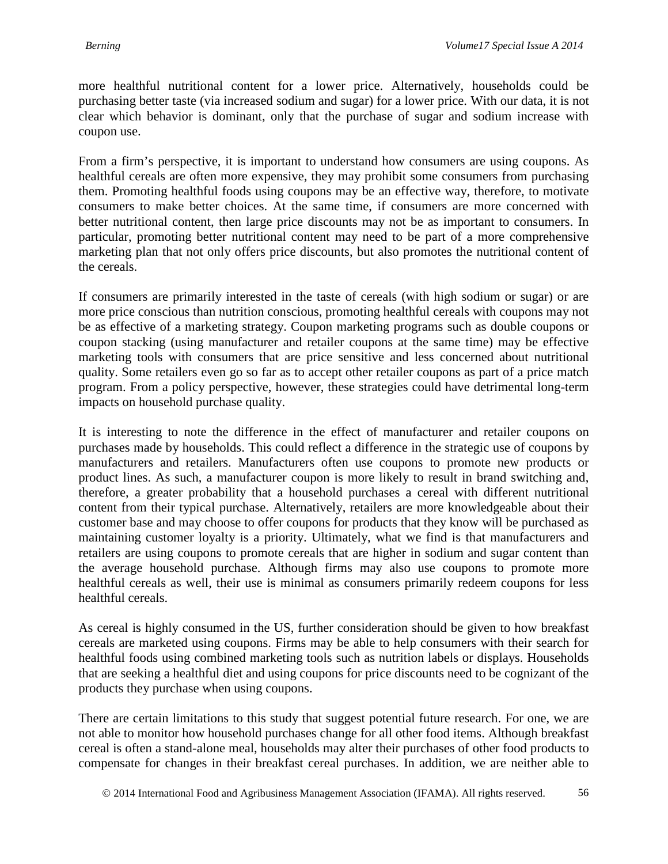more healthful nutritional content for a lower price. Alternatively, households could be purchasing better taste (via increased sodium and sugar) for a lower price. With our data, it is not clear which behavior is dominant, only that the purchase of sugar and sodium increase with coupon use.

From a firm's perspective, it is important to understand how consumers are using coupons. As healthful cereals are often more expensive, they may prohibit some consumers from purchasing them. Promoting healthful foods using coupons may be an effective way, therefore, to motivate consumers to make better choices. At the same time, if consumers are more concerned with better nutritional content, then large price discounts may not be as important to consumers. In particular, promoting better nutritional content may need to be part of a more comprehensive marketing plan that not only offers price discounts, but also promotes the nutritional content of the cereals.

If consumers are primarily interested in the taste of cereals (with high sodium or sugar) or are more price conscious than nutrition conscious, promoting healthful cereals with coupons may not be as effective of a marketing strategy. Coupon marketing programs such as double coupons or coupon stacking (using manufacturer and retailer coupons at the same time) may be effective marketing tools with consumers that are price sensitive and less concerned about nutritional quality. Some retailers even go so far as to accept other retailer coupons as part of a price match program. From a policy perspective, however, these strategies could have detrimental long-term impacts on household purchase quality.

It is interesting to note the difference in the effect of manufacturer and retailer coupons on purchases made by households. This could reflect a difference in the strategic use of coupons by manufacturers and retailers. Manufacturers often use coupons to promote new products or product lines. As such, a manufacturer coupon is more likely to result in brand switching and, therefore, a greater probability that a household purchases a cereal with different nutritional content from their typical purchase. Alternatively, retailers are more knowledgeable about their customer base and may choose to offer coupons for products that they know will be purchased as maintaining customer loyalty is a priority. Ultimately, what we find is that manufacturers and retailers are using coupons to promote cereals that are higher in sodium and sugar content than the average household purchase. Although firms may also use coupons to promote more healthful cereals as well, their use is minimal as consumers primarily redeem coupons for less healthful cereals.

As cereal is highly consumed in the US, further consideration should be given to how breakfast cereals are marketed using coupons. Firms may be able to help consumers with their search for healthful foods using combined marketing tools such as nutrition labels or displays. Households that are seeking a healthful diet and using coupons for price discounts need to be cognizant of the products they purchase when using coupons.

There are certain limitations to this study that suggest potential future research. For one, we are not able to monitor how household purchases change for all other food items. Although breakfast cereal is often a stand-alone meal, households may alter their purchases of other food products to compensate for changes in their breakfast cereal purchases. In addition, we are neither able to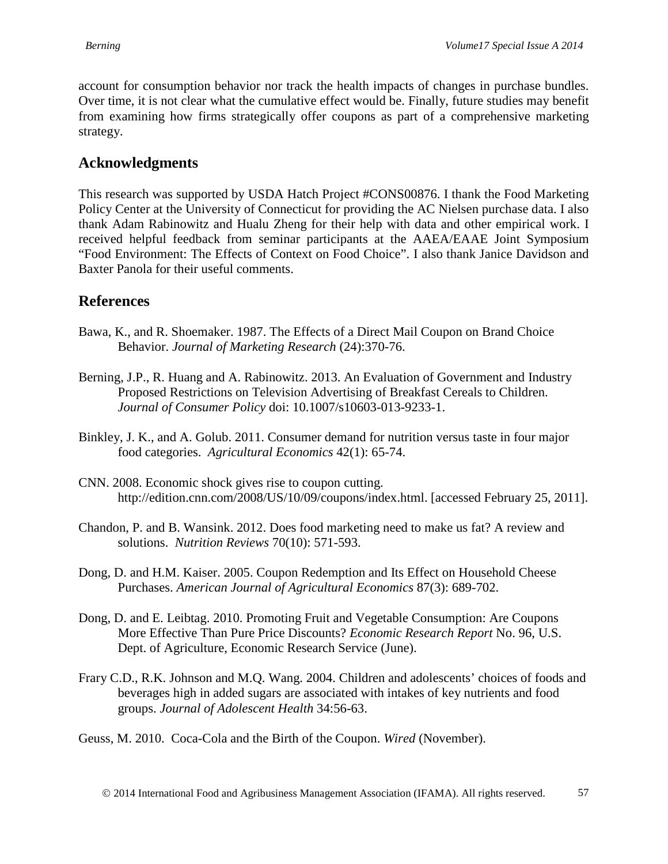account for consumption behavior nor track the health impacts of changes in purchase bundles. Over time, it is not clear what the cumulative effect would be. Finally, future studies may benefit from examining how firms strategically offer coupons as part of a comprehensive marketing strategy.

## **Acknowledgments**

This research was supported by USDA Hatch Project #CONS00876. I thank the Food Marketing Policy Center at the University of Connecticut for providing the AC Nielsen purchase data. I also thank Adam Rabinowitz and Hualu Zheng for their help with data and other empirical work. I received helpful feedback from seminar participants at the AAEA/EAAE Joint Symposium "Food Environment: The Effects of Context on Food Choice". I also thank Janice Davidson and Baxter Panola for their useful comments.

# **References**

- Bawa, K., and R. Shoemaker. 1987. The Effects of a Direct Mail Coupon on Brand Choice Behavior. *Journal of Marketing Research* (24):370-76.
- Berning, J.P., R. Huang and A. Rabinowitz. 2013. An Evaluation of Government and Industry Proposed Restrictions on Television Advertising of Breakfast Cereals to Children. *Journal of Consumer Policy* doi: 10.1007/s10603-013-9233-1.
- Binkley, J. K., and A. Golub. 2011. Consumer demand for nutrition versus taste in four major food categories. *Agricultural Economics* 42(1): 65-74.
- CNN. 2008. Economic shock gives rise to coupon cutting. http://edition.cnn.com/2008/US/10/09/coupons/index.html. [accessed February 25, 2011].
- Chandon, P. and B. Wansink. 2012. Does food marketing need to make us fat? A review and solutions. *Nutrition Reviews* 70(10): 571-593.
- Dong, D. and H.M. Kaiser. 2005. Coupon Redemption and Its Effect on Household Cheese Purchases. *American Journal of Agricultural Economics* 87(3): 689-702.
- Dong, D. and E. Leibtag. 2010. Promoting Fruit and Vegetable Consumption: Are Coupons More Effective Than Pure Price Discounts? *Economic Research Report* No. 96, U.S. Dept. of Agriculture, Economic Research Service (June).
- Frary C.D., R.K. Johnson and M.Q. Wang. 2004. Children and adolescents' choices of foods and beverages high in added sugars are associated with intakes of key nutrients and food groups. *Journal of Adolescent Health* 34:56-63.

Geuss, M. 2010. Coca-Cola and the Birth of the Coupon. *Wired* (November).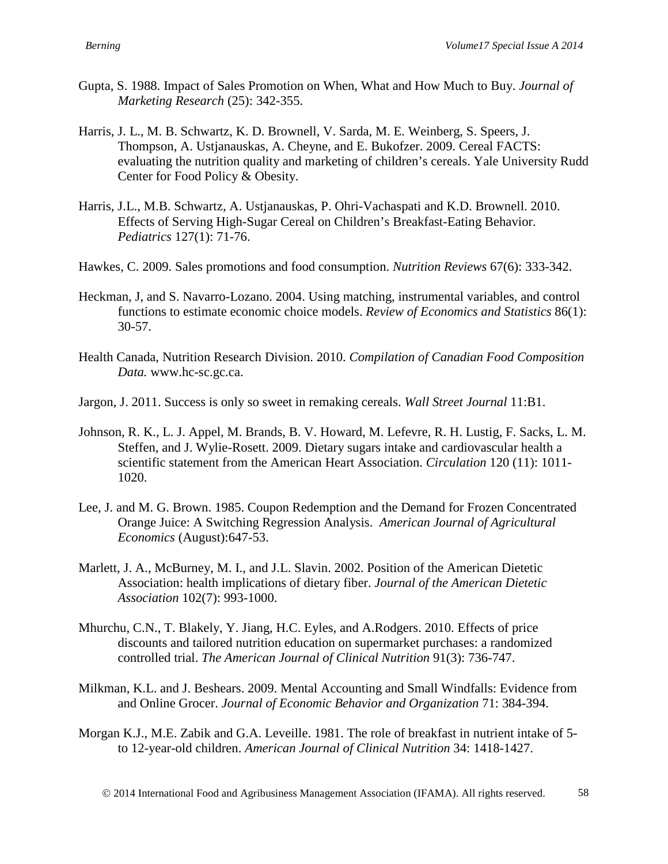- Gupta, S. 1988. Impact of Sales Promotion on When, What and How Much to Buy. *Journal of Marketing Research* (25): 342-355.
- Harris, J. L., M. B. Schwartz, K. D. Brownell, V. Sarda, M. E. Weinberg, S. Speers, J. Thompson, A. Ustjanauskas, A. Cheyne, and E. Bukofzer. 2009. Cereal FACTS: evaluating the nutrition quality and marketing of children's cereals. Yale University Rudd Center for Food Policy & Obesity.
- Harris, J.L., M.B. Schwartz, A. Ustjanauskas, P. Ohri-Vachaspati and K.D. Brownell. 2010. Effects of Serving High-Sugar Cereal on Children's Breakfast-Eating Behavior. *Pediatrics* 127(1): 71-76.
- Hawkes, C. 2009. Sales promotions and food consumption. *Nutrition Reviews* 67(6): 333-342.
- Heckman, J, and S. Navarro-Lozano. 2004. Using matching, instrumental variables, and control functions to estimate economic choice models. *Review of Economics and Statistics* 86(1): 30-57.
- Health Canada, Nutrition Research Division. 2010. *Compilation of Canadian Food Composition Data.* www.hc-sc.gc.ca.
- Jargon, J. 2011. Success is only so sweet in remaking cereals. *Wall Street Journal* 11:B1.
- Johnson, R. K., L. J. Appel, M. Brands, B. V. Howard, M. Lefevre, R. H. Lustig, F. Sacks, L. M. Steffen, and J. Wylie-Rosett. 2009. Dietary sugars intake and cardiovascular health a scientific statement from the American Heart Association. *Circulation* 120 (11): 1011- 1020.
- Lee, J. and M. G. Brown. 1985. Coupon Redemption and the Demand for Frozen Concentrated Orange Juice: A Switching Regression Analysis. *American Journal of Agricultural Economics* (August):647-53.
- Marlett, J. A., McBurney, M. I., and J.L. Slavin. 2002. Position of the American Dietetic Association: health implications of dietary fiber. *Journal of the American Dietetic Association* 102(7): 993-1000.
- Mhurchu, C.N., T. Blakely, Y. Jiang, H.C. Eyles, and A.Rodgers. 2010. Effects of price discounts and tailored nutrition education on supermarket purchases: a randomized controlled trial. *The American Journal of Clinical Nutrition* 91(3): 736-747.
- Milkman, K.L. and J. Beshears. 2009. Mental Accounting and Small Windfalls: Evidence from and Online Grocer. *Journal of Economic Behavior and Organization* 71: 384-394.
- Morgan K.J., M.E. Zabik and G.A. Leveille. 1981. The role of breakfast in nutrient intake of 5 to 12-year-old children. *American Journal of Clinical Nutrition* 34: 1418-1427.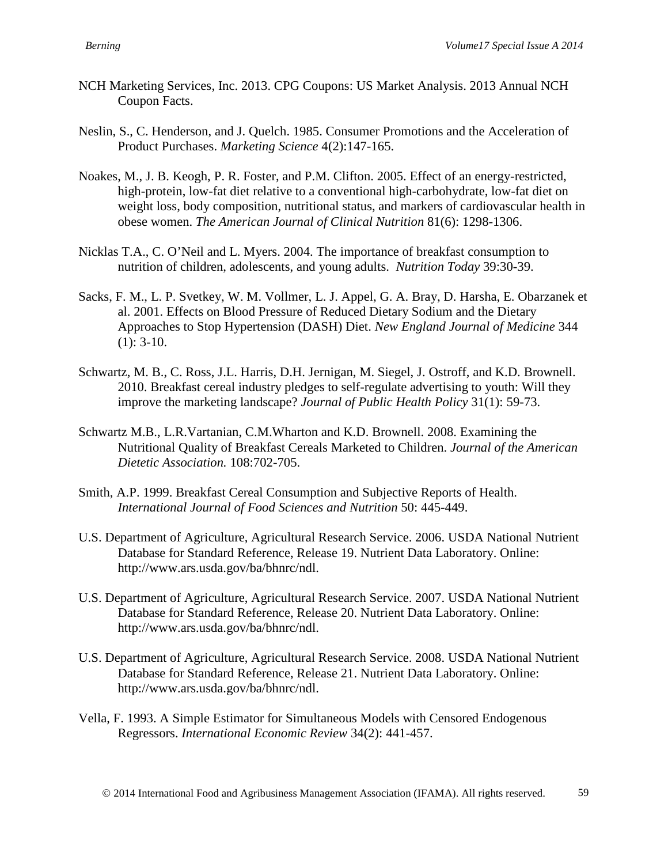- NCH Marketing Services, Inc. 2013. CPG Coupons: US Market Analysis. 2013 Annual NCH Coupon Facts.
- Neslin, S., C. Henderson, and J. Quelch. 1985. Consumer Promotions and the Acceleration of Product Purchases. *Marketing Science* 4(2):147-165.
- Noakes, M., J. B. Keogh, P. R. Foster, and P.M. Clifton. 2005. Effect of an energy-restricted, high-protein, low-fat diet relative to a conventional high-carbohydrate, low-fat diet on weight loss, body composition, nutritional status, and markers of cardiovascular health in obese women. *The American Journal of Clinical Nutrition* 81(6): 1298-1306.
- Nicklas T.A., C. O'Neil and L. Myers. 2004. The importance of breakfast consumption to nutrition of children, adolescents, and young adults. *Nutrition Today* 39:30-39.
- Sacks, F. M., L. P. Svetkey, W. M. Vollmer, L. J. Appel, G. A. Bray, D. Harsha, E. Obarzanek et al. 2001. Effects on Blood Pressure of Reduced Dietary Sodium and the Dietary Approaches to Stop Hypertension (DASH) Diet. *New England Journal of Medicine* 344  $(1)$ : 3-10.
- Schwartz, M. B., C. Ross, J.L. Harris, D.H. Jernigan, M. Siegel, J. Ostroff, and K.D. Brownell. 2010. Breakfast cereal industry pledges to self-regulate advertising to youth: Will they improve the marketing landscape? *Journal of Public Health Policy* 31(1): 59-73.
- Schwartz M.B., L.R.Vartanian, C.M.Wharton and K.D. Brownell. 2008. Examining the Nutritional Quality of Breakfast Cereals Marketed to Children. *Journal of the American Dietetic Association.* 108:702-705.
- Smith, A.P. 1999. Breakfast Cereal Consumption and Subjective Reports of Health. *International Journal of Food Sciences and Nutrition* 50: 445-449.
- U.S. Department of Agriculture, Agricultural Research Service. 2006. USDA National Nutrient Database for Standard Reference, Release 19. Nutrient Data Laboratory. Online: http://www.ars.usda.gov/ba/bhnrc/ndl.
- U.S. Department of Agriculture, Agricultural Research Service. 2007. USDA National Nutrient Database for Standard Reference, Release 20. Nutrient Data Laboratory. Online: http://www.ars.usda.gov/ba/bhnrc/ndl.
- U.S. Department of Agriculture, Agricultural Research Service. 2008. USDA National Nutrient Database for Standard Reference, Release 21. Nutrient Data Laboratory. Online: http://www.ars.usda.gov/ba/bhnrc/ndl.
- Vella, F. 1993. A Simple Estimator for Simultaneous Models with Censored Endogenous Regressors. *International Economic Review* 34(2): 441-457.